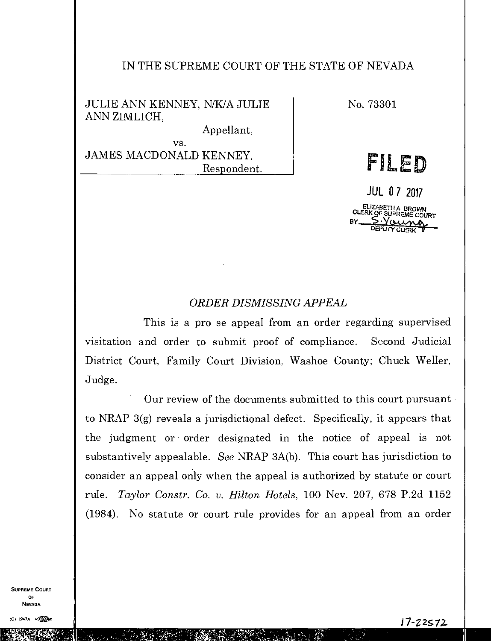## IN THE SUPREME COURT OF THE STATE OF NEVADA

JULIE ANN KENNEY, N/K/A JULIE ANN ZIMLICH,

Appellant,

vs. JAMES MACDONALD KENNEY, Respondent. No. 73301

FILED

JUL 0 7 2017 ELIZABETH A. BROWN SUPREME COURT DEPUTY GLERK

## *ORDER DISMISSING APPEAL*

This is a pro se appeal from an order regarding supervised visitation and order to submit proof of compliance. Second Judicial District Court, Family Court Division. Washoe County; Chuck Weller, Judge.

Our review of the documents submitted to this court pursuant to NRAP 3(g) reveals a jurisdictional defect. Specifically, it appears that the judgment or order designated in the notice of appeal is not substantively appealable. *See* NRAP 3A(b). This court has jurisdiction to consider an appeal only when the appeal is authorized by statute or court rule. *Taylor Constr. Co. v. Hilton Hotels,* 100 Nev. 207, 678 P.2d 1152 (1984). No statute or court rule provides for an appeal from an order

SUPREME COURT OF NEVADA

 $\mathcal{L} \left( \mathbf{r} \right)$  ,  $\mathbf{r}_{\text{ref}}$